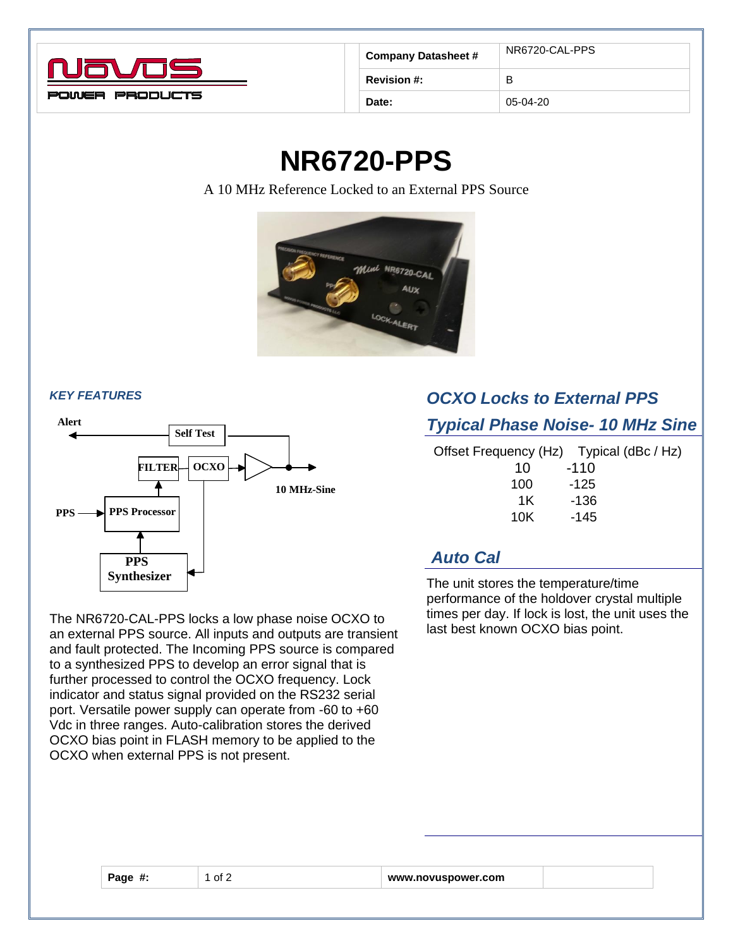

| <b>Company Datasheet #</b> | NR6720-CAL-PPS |
|----------------------------|----------------|
| <b>Revision #:</b>         | в              |
| Date:                      | $05-04-20$     |

# **NR6720-PPS**

A 10 MHz Reference Locked to an External PPS Source



#### *KEY FEATURES*



The NR6720-CAL-PPS locks a low phase noise OCXO to an external PPS source. All inputs and outputs are transient and fault protected. The Incoming PPS source is compared to a synthesized PPS to develop an error signal that is further processed to control the OCXO frequency. Lock indicator and status signal provided on the RS232 serial port. Versatile power supply can operate from -60 to +60 Vdc in three ranges. Auto-calibration stores the derived OCXO bias point in FLASH memory to be applied to the OCXO when external PPS is not present.

## *OCXO Locks to External PPS*

#### *Typical Phase Noise- 10 MHz Sine*

| Offset Frequency (Hz) Typical (dBc / Hz) |        |
|------------------------------------------|--------|
| 10                                       | $-110$ |
| 100                                      | $-125$ |
| 1K                                       | -136   |
| 10K                                      | -145   |
|                                          |        |

### *Auto Cal*

The unit stores the temperature/time performance of the holdover crystal multiple times per day. If lock is lost, the unit uses the last best known OCXO bias point.

| Page |  |
|------|--|
|      |  |